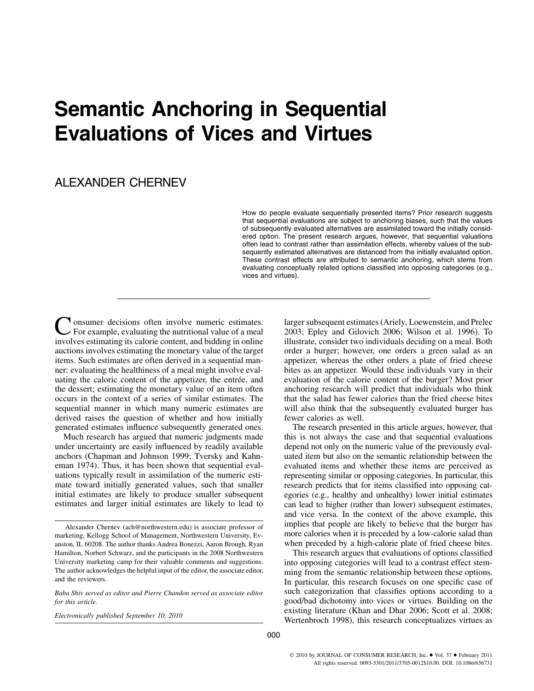# **Semantic Anchoring in Sequential Evaluations of Vices and Virtues**

# ALEXANDER CHERNEV

How do people evaluate sequentially presented items? Prior research suggests that sequential evaluations are subject to anchoring biases, such that the values of subsequently evaluated alternatives are assimilated toward the initially considered option. The present research argues, however, that sequential valuations often lead to contrast rather than assimilation effects, whereby values of the subsequently estimated alternatives are distanced from the initially evaluated option. These contrast effects are attributed to semantic anchoring, which stems from evaluating conceptually related options classified into opposing categories (e.g., vices and virtues).

onsumer decisions often involve numeric estimates. For example, evaluating the nutritional value of a meal involves estimating its calorie content, and bidding in online auctions involves estimating the monetary value of the target items. Such estimates are often derived in a sequential manner: evaluating the healthiness of a meal might involve evaluating the caloric content of the appetizer, the entrée, and the dessert; estimating the monetary value of an item often occurs in the context of a series of similar estimates. The sequential manner in which many numeric estimates are derived raises the question of whether and how initially generated estimates influence subsequently generated ones.

Much research has argued that numeric judgments made under uncertainty are easily influenced by readily available anchors (Chapman and Johnson 1999; Tversky and Kahneman 1974). Thus, it has been shown that sequential evaluations typically result in assimilation of the numeric estimate toward initially generated values, such that smaller initial estimates are likely to produce smaller subsequent estimates and larger initial estimates are likely to lead to

*Baba Shiv served as editor and Pierre Chandon served as associate editor for this article.*

*Electronically published September 10, 2010*

larger subsequent estimates (Ariely, Loewenstein, and Prelec 2003; Epley and Gilovich 2006; Wilson et al. 1996). To illustrate, consider two individuals deciding on a meal. Both order a burger; however, one orders a green salad as an appetizer, whereas the other orders a plate of fried cheese bites as an appetizer. Would these individuals vary in their evaluation of the calorie content of the burger? Most prior anchoring research will predict that individuals who think that the salad has fewer calories than the fried cheese bites will also think that the subsequently evaluated burger has fewer calories as well.

The research presented in this article argues, however, that this is not always the case and that sequential evaluations depend not only on the numeric value of the previously evaluated item but also on the semantic relationship between the evaluated items and whether these items are perceived as representing similar or opposing categories. In particular, this research predicts that for items classified into opposing categories (e.g., healthy and unhealthy) lower initial estimates can lead to higher (rather than lower) subsequent estimates, and vice versa. In the context of the above example, this implies that people are likely to believe that the burger has more calories when it is preceded by a low-calorie salad than when preceded by a high-calorie plate of fried cheese bites.

This research argues that evaluations of options classified into opposing categories will lead to a contrast effect stemming from the semantic relationship between these options. In particular, this research focuses on one specific case of such categorization that classifies options according to a good/bad dichotomy into vices or virtues. Building on the existing literature (Khan and Dhar 2006; Scott et al. 2008; Wertenbroch 1998), this research conceptualizes virtues as

Alexander Chernev (ach@northwestern.edu) is associate professor of marketing, Kellogg School of Management, Northwestern University, Evanston, IL 60208. The author thanks Andrea Bonezzi, Aaron Brough, Ryan Hamilton, Norbert Schwarz, and the participants in the 2008 Northwestern University marketing camp for their valuable comments and suggestions. The author acknowledges the helpful input of the editor, the associate editor, and the reviewers.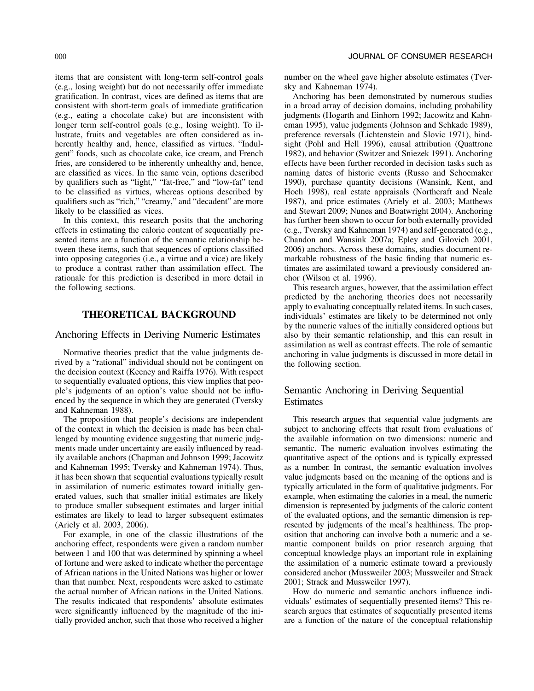items that are consistent with long-term self-control goals (e.g., losing weight) but do not necessarily offer immediate gratification. In contrast, vices are defined as items that are consistent with short-term goals of immediate gratification (e.g., eating a chocolate cake) but are inconsistent with longer term self-control goals (e.g., losing weight). To illustrate, fruits and vegetables are often considered as inherently healthy and, hence, classified as virtues. "Indulgent" foods, such as chocolate cake, ice cream, and French fries, are considered to be inherently unhealthy and, hence, are classified as vices. In the same vein, options described by qualifiers such as "light," "fat-free," and "low-fat" tend to be classified as virtues, whereas options described by qualifiers such as "rich," "creamy," and "decadent" are more likely to be classified as vices.

In this context, this research posits that the anchoring effects in estimating the calorie content of sequentially presented items are a function of the semantic relationship between these items, such that sequences of options classified into opposing categories (i.e., a virtue and a vice) are likely to produce a contrast rather than assimilation effect. The rationale for this prediction is described in more detail in the following sections.

# **THEORETICAL BACKGROUND**

#### Anchoring Effects in Deriving Numeric Estimates

Normative theories predict that the value judgments derived by a "rational" individual should not be contingent on the decision context (Keeney and Raiffa 1976). With respect to sequentially evaluated options, this view implies that people's judgments of an option's value should not be influenced by the sequence in which they are generated (Tversky and Kahneman 1988).

The proposition that people's decisions are independent of the context in which the decision is made has been challenged by mounting evidence suggesting that numeric judgments made under uncertainty are easily influenced by readily available anchors (Chapman and Johnson 1999; Jacowitz and Kahneman 1995; Tversky and Kahneman 1974). Thus, it has been shown that sequential evaluations typically result in assimilation of numeric estimates toward initially generated values, such that smaller initial estimates are likely to produce smaller subsequent estimates and larger initial estimates are likely to lead to larger subsequent estimates (Ariely et al. 2003, 2006).

For example, in one of the classic illustrations of the anchoring effect, respondents were given a random number between 1 and 100 that was determined by spinning a wheel of fortune and were asked to indicate whether the percentage of African nations in the United Nations was higher or lower than that number. Next, respondents were asked to estimate the actual number of African nations in the United Nations. The results indicated that respondents' absolute estimates were significantly influenced by the magnitude of the initially provided anchor, such that those who received a higher number on the wheel gave higher absolute estimates (Tversky and Kahneman 1974).

Anchoring has been demonstrated by numerous studies in a broad array of decision domains, including probability judgments (Hogarth and Einhorn 1992; Jacowitz and Kahneman 1995), value judgments (Johnson and Schkade 1989), preference reversals (Lichtenstein and Slovic 1971), hindsight (Pohl and Hell 1996), causal attribution (Quattrone 1982), and behavior (Switzer and Sniezek 1991). Anchoring effects have been further recorded in decision tasks such as naming dates of historic events (Russo and Schoemaker 1990), purchase quantity decisions (Wansink, Kent, and Hoch 1998), real estate appraisals (Northcraft and Neale 1987), and price estimates (Ariely et al. 2003; Matthews and Stewart 2009; Nunes and Boatwright 2004). Anchoring has further been shown to occur for both externally provided (e.g., Tversky and Kahneman 1974) and self-generated (e.g., Chandon and Wansink 2007a; Epley and Gilovich 2001, 2006) anchors. Across these domains, studies document remarkable robustness of the basic finding that numeric estimates are assimilated toward a previously considered anchor (Wilson et al. 1996).

This research argues, however, that the assimilation effect predicted by the anchoring theories does not necessarily apply to evaluating conceptually related items. In such cases, individuals' estimates are likely to be determined not only by the numeric values of the initially considered options but also by their semantic relationship, and this can result in assimilation as well as contrast effects. The role of semantic anchoring in value judgments is discussed in more detail in the following section.

# Semantic Anchoring in Deriving Sequential Estimates

This research argues that sequential value judgments are subject to anchoring effects that result from evaluations of the available information on two dimensions: numeric and semantic. The numeric evaluation involves estimating the quantitative aspect of the options and is typically expressed as a number. In contrast, the semantic evaluation involves value judgments based on the meaning of the options and is typically articulated in the form of qualitative judgments. For example, when estimating the calories in a meal, the numeric dimension is represented by judgments of the caloric content of the evaluated options, and the semantic dimension is represented by judgments of the meal's healthiness. The proposition that anchoring can involve both a numeric and a semantic component builds on prior research arguing that conceptual knowledge plays an important role in explaining the assimilation of a numeric estimate toward a previously considered anchor (Mussweiler 2003; Mussweiler and Strack 2001; Strack and Mussweiler 1997).

How do numeric and semantic anchors influence individuals' estimates of sequentially presented items? This research argues that estimates of sequentially presented items are a function of the nature of the conceptual relationship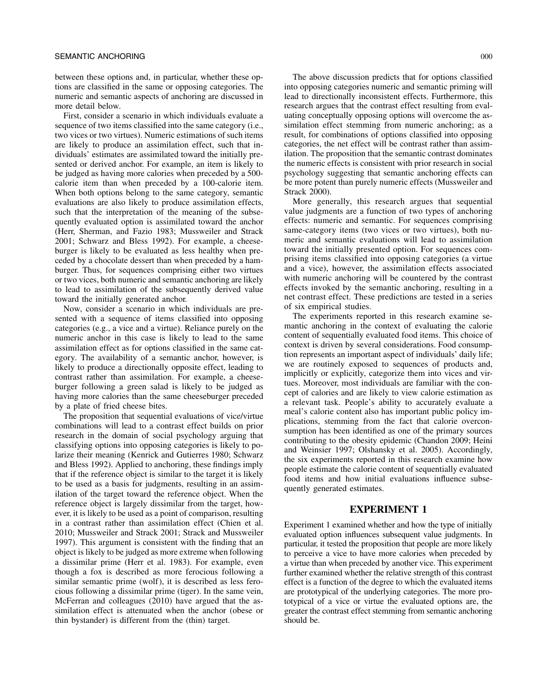between these options and, in particular, whether these options are classified in the same or opposing categories. The numeric and semantic aspects of anchoring are discussed in more detail below.

First, consider a scenario in which individuals evaluate a sequence of two items classified into the same category (i.e., two vices or two virtues). Numeric estimations of such items are likely to produce an assimilation effect, such that individuals' estimates are assimilated toward the initially presented or derived anchor. For example, an item is likely to be judged as having more calories when preceded by a 500 calorie item than when preceded by a 100-calorie item. When both options belong to the same category, semantic evaluations are also likely to produce assimilation effects, such that the interpretation of the meaning of the subsequently evaluated option is assimilated toward the anchor (Herr, Sherman, and Fazio 1983; Mussweiler and Strack 2001; Schwarz and Bless 1992). For example, a cheeseburger is likely to be evaluated as less healthy when preceded by a chocolate dessert than when preceded by a hamburger. Thus, for sequences comprising either two virtues or two vices, both numeric and semantic anchoring are likely to lead to assimilation of the subsequently derived value toward the initially generated anchor.

Now, consider a scenario in which individuals are presented with a sequence of items classified into opposing categories (e.g., a vice and a virtue). Reliance purely on the numeric anchor in this case is likely to lead to the same assimilation effect as for options classified in the same category. The availability of a semantic anchor, however, is likely to produce a directionally opposite effect, leading to contrast rather than assimilation. For example, a cheeseburger following a green salad is likely to be judged as having more calories than the same cheeseburger preceded by a plate of fried cheese bites.

The proposition that sequential evaluations of vice/virtue combinations will lead to a contrast effect builds on prior research in the domain of social psychology arguing that classifying options into opposing categories is likely to polarize their meaning (Kenrick and Gutierres 1980; Schwarz and Bless 1992). Applied to anchoring, these findings imply that if the reference object is similar to the target it is likely to be used as a basis for judgments, resulting in an assimilation of the target toward the reference object. When the reference object is largely dissimilar from the target, however, it is likely to be used as a point of comparison, resulting in a contrast rather than assimilation effect (Chien et al. 2010; Mussweiler and Strack 2001; Strack and Mussweiler 1997). This argument is consistent with the finding that an object is likely to be judged as more extreme when following a dissimilar prime (Herr et al. 1983). For example, even though a fox is described as more ferocious following a similar semantic prime (wolf), it is described as less ferocious following a dissimilar prime (tiger). In the same vein, McFerran and colleagues (2010) have argued that the assimilation effect is attenuated when the anchor (obese or thin bystander) is different from the (thin) target.

The above discussion predicts that for options classified into opposing categories numeric and semantic priming will lead to directionally inconsistent effects. Furthermore, this research argues that the contrast effect resulting from evaluating conceptually opposing options will overcome the assimilation effect stemming from numeric anchoring; as a result, for combinations of options classified into opposing categories, the net effect will be contrast rather than assimilation. The proposition that the semantic contrast dominates the numeric effects is consistent with prior research in social psychology suggesting that semantic anchoring effects can

Strack 2000). More generally, this research argues that sequential value judgments are a function of two types of anchoring effects: numeric and semantic. For sequences comprising same-category items (two vices or two virtues), both numeric and semantic evaluations will lead to assimilation toward the initially presented option. For sequences comprising items classified into opposing categories (a virtue and a vice), however, the assimilation effects associated with numeric anchoring will be countered by the contrast effects invoked by the semantic anchoring, resulting in a net contrast effect. These predictions are tested in a series of six empirical studies.

be more potent than purely numeric effects (Mussweiler and

The experiments reported in this research examine semantic anchoring in the context of evaluating the calorie content of sequentially evaluated food items. This choice of context is driven by several considerations. Food consumption represents an important aspect of individuals' daily life; we are routinely exposed to sequences of products and, implicitly or explicitly, categorize them into vices and virtues. Moreover, most individuals are familiar with the concept of calories and are likely to view calorie estimation as a relevant task. People's ability to accurately evaluate a meal's calorie content also has important public policy implications, stemming from the fact that calorie overconsumption has been identified as one of the primary sources contributing to the obesity epidemic (Chandon 2009; Heini and Weinsier 1997; Olshansky et al. 2005). Accordingly, the six experiments reported in this research examine how people estimate the calorie content of sequentially evaluated food items and how initial evaluations influence subsequently generated estimates.

# **EXPERIMENT 1**

Experiment 1 examined whether and how the type of initially evaluated option influences subsequent value judgments. In particular, it tested the proposition that people are more likely to perceive a vice to have more calories when preceded by a virtue than when preceded by another vice. This experiment further examined whether the relative strength of this contrast effect is a function of the degree to which the evaluated items are prototypical of the underlying categories. The more prototypical of a vice or virtue the evaluated options are, the greater the contrast effect stemming from semantic anchoring should be.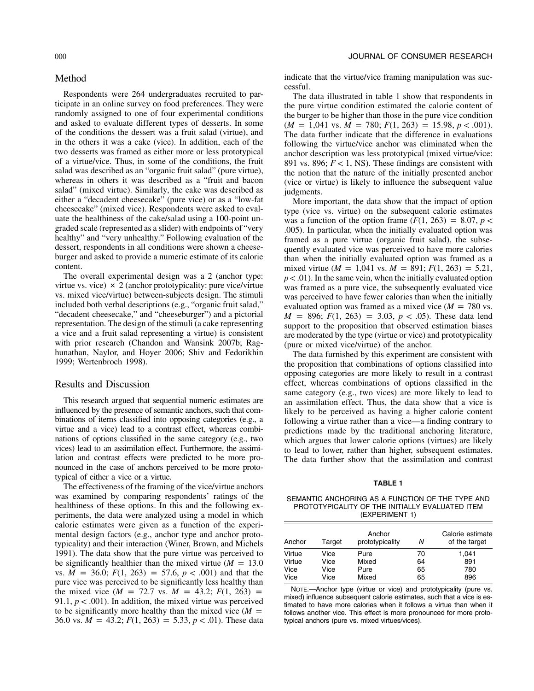# Method

Respondents were 264 undergraduates recruited to participate in an online survey on food preferences. They were randomly assigned to one of four experimental conditions and asked to evaluate different types of desserts. In some of the conditions the dessert was a fruit salad (virtue), and in the others it was a cake (vice). In addition, each of the two desserts was framed as either more or less prototypical of a virtue/vice. Thus, in some of the conditions, the fruit salad was described as an "organic fruit salad" (pure virtue), whereas in others it was described as a "fruit and bacon salad" (mixed virtue). Similarly, the cake was described as either a "decadent cheesecake" (pure vice) or as a "low-fat cheesecake" (mixed vice). Respondents were asked to evaluate the healthiness of the cake/salad using a 100-point ungraded scale (represented as a slider) with endpoints of "very healthy" and "very unhealthy." Following evaluation of the dessert, respondents in all conditions were shown a cheeseburger and asked to provide a numeric estimate of its calorie content.

The overall experimental design was a 2 (anchor type: virtue vs. vice)  $\times$  2 (anchor prototypicality: pure vice/virtue vs. mixed vice/virtue) between-subjects design. The stimuli included both verbal descriptions (e.g., "organic fruit salad," "decadent cheesecake," and "cheeseburger") and a pictorial representation. The design of the stimuli (a cake representing a vice and a fruit salad representing a virtue) is consistent with prior research (Chandon and Wansink 2007b; Raghunathan, Naylor, and Hoyer 2006; Shiv and Fedorikhin 1999; Wertenbroch 1998).

#### Results and Discussion

This research argued that sequential numeric estimates are influenced by the presence of semantic anchors, such that combinations of items classified into opposing categories (e.g., a virtue and a vice) lead to a contrast effect, whereas combinations of options classified in the same category (e.g., two vices) lead to an assimilation effect. Furthermore, the assimilation and contrast effects were predicted to be more pronounced in the case of anchors perceived to be more prototypical of either a vice or a virtue.

The effectiveness of the framing of the vice/virtue anchors was examined by comparing respondents' ratings of the healthiness of these options. In this and the following experiments, the data were analyzed using a model in which calorie estimates were given as a function of the experimental design factors (e.g., anchor type and anchor prototypicality) and their interaction (Winer, Brown, and Michels 1991). The data show that the pure virtue was perceived to be significantly healthier than the mixed virtue  $(M = 13.0$ vs.  $M = 36.0; F(1, 263) = 57.6, p < .001$  and that the pure vice was perceived to be significantly less healthy than the mixed vice  $(M = 72.7 \text{ vs. } M = 43.2; F(1, 263) =$ 91.1,  $p < .001$ ). In addition, the mixed virtue was perceived to be significantly more healthy than the mixed vice  $(M =$ 36.0 vs.  $M = 43.2$ ;  $F(1, 263) = 5.33$ ,  $p < .01$ ). These data indicate that the virtue/vice framing manipulation was successful.

The data illustrated in table 1 show that respondents in the pure virtue condition estimated the calorie content of the burger to be higher than those in the pure vice condition  $(M = 1,041 \text{ vs. } M = 780; F(1, 263) = 15.98, p < .001).$ The data further indicate that the difference in evaluations following the virtue/vice anchor was eliminated when the anchor description was less prototypical (mixed virtue/vice: 891 vs. 896;  $F < 1$ , NS). These findings are consistent with the notion that the nature of the initially presented anchor (vice or virtue) is likely to influence the subsequent value judgments.

More important, the data show that the impact of option type (vice vs. virtue) on the subsequent calorie estimates was a function of the option frame  $(F(1, 263) = 8.07, p <$ .005). In particular, when the initially evaluated option was framed as a pure virtue (organic fruit salad), the subsequently evaluated vice was perceived to have more calories than when the initially evaluated option was framed as a mixed virtue ( $M = 1,041$  vs.  $M = 891$ ;  $F(1, 263) = 5.21$ ,  $p < .01$ ). In the same vein, when the initially evaluated option was framed as a pure vice, the subsequently evaluated vice was perceived to have fewer calories than when the initially evaluated option was framed as a mixed vice  $(M = 780 \text{ vs.})$  $M = 896$ ;  $F(1, 263) = 3.03$ ,  $p < .05$ ). These data lend support to the proposition that observed estimation biases are moderated by the type (virtue or vice) and prototypicality (pure or mixed vice/virtue) of the anchor.

The data furnished by this experiment are consistent with the proposition that combinations of options classified into opposing categories are more likely to result in a contrast effect, whereas combinations of options classified in the same category (e.g., two vices) are more likely to lead to an assimilation effect. Thus, the data show that a vice is likely to be perceived as having a higher calorie content following a virtue rather than a vice—a finding contrary to predictions made by the traditional anchoring literature, which argues that lower calorie options (virtues) are likely to lead to lower, rather than higher, subsequent estimates. The data further show that the assimilation and contrast

# **TABLE 1**

SEMANTIC ANCHORING AS A FUNCTION OF THE TYPE AND PROTOTYPICALITY OF THE INITIALLY EVALUATED ITEM (EXPERIMENT 1)

| Anchor | Target | Anchor<br>prototypicality | Ν  | Calorie estimate<br>of the target |
|--------|--------|---------------------------|----|-----------------------------------|
| Virtue | Vice   | Pure                      | 70 | 1,041                             |
| Virtue | Vice   | Mixed                     | 64 | 891                               |
| Vice   | Vice   | Pure                      | 65 | 780                               |
| Vice   | Vice   | Mixed                     | 65 | 896                               |

NOTE.—Anchor type (virtue or vice) and prototypicality (pure vs. mixed) influence subsequent calorie estimates, such that a vice is estimated to have more calories when it follows a virtue than when it follows another vice. This effect is more pronounced for more prototypical anchors (pure vs. mixed virtues/vices).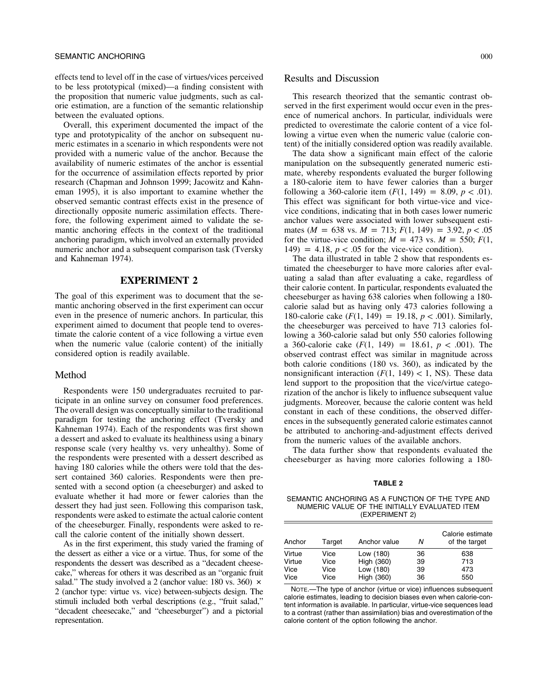effects tend to level off in the case of virtues/vices perceived to be less prototypical (mixed)—a finding consistent with the proposition that numeric value judgments, such as calorie estimation, are a function of the semantic relationship between the evaluated options.

Overall, this experiment documented the impact of the type and prototypicality of the anchor on subsequent numeric estimates in a scenario in which respondents were not provided with a numeric value of the anchor. Because the availability of numeric estimates of the anchor is essential for the occurrence of assimilation effects reported by prior research (Chapman and Johnson 1999; Jacowitz and Kahneman 1995), it is also important to examine whether the observed semantic contrast effects exist in the presence of directionally opposite numeric assimilation effects. Therefore, the following experiment aimed to validate the semantic anchoring effects in the context of the traditional anchoring paradigm, which involved an externally provided numeric anchor and a subsequent comparison task (Tversky and Kahneman 1974).

# **EXPERIMENT 2**

The goal of this experiment was to document that the semantic anchoring observed in the first experiment can occur even in the presence of numeric anchors. In particular, this experiment aimed to document that people tend to overestimate the calorie content of a vice following a virtue even when the numeric value (calorie content) of the initially considered option is readily available.

# Method

Respondents were 150 undergraduates recruited to participate in an online survey on consumer food preferences. The overall design was conceptually similar to the traditional paradigm for testing the anchoring effect (Tversky and Kahneman 1974). Each of the respondents was first shown a dessert and asked to evaluate its healthiness using a binary response scale (very healthy vs. very unhealthy). Some of the respondents were presented with a dessert described as having 180 calories while the others were told that the dessert contained 360 calories. Respondents were then presented with a second option (a cheeseburger) and asked to evaluate whether it had more or fewer calories than the dessert they had just seen. Following this comparison task, respondents were asked to estimate the actual calorie content of the cheeseburger. Finally, respondents were asked to recall the calorie content of the initially shown dessert.

As in the first experiment, this study varied the framing of the dessert as either a vice or a virtue. Thus, for some of the respondents the dessert was described as a "decadent cheesecake," whereas for others it was described as an "organic fruit salad." The study involved a 2 (anchor value: 180 vs. 360)  $\times$ 2 (anchor type: virtue vs. vice) between-subjects design. The stimuli included both verbal descriptions (e.g., "fruit salad," "decadent cheesecake," and "cheeseburger") and a pictorial representation.

#### Results and Discussion

This research theorized that the semantic contrast observed in the first experiment would occur even in the presence of numerical anchors. In particular, individuals were predicted to overestimate the calorie content of a vice following a virtue even when the numeric value (calorie content) of the initially considered option was readily available.

The data show a significant main effect of the calorie manipulation on the subsequently generated numeric estimate, whereby respondents evaluated the burger following a 180-calorie item to have fewer calories than a burger following a 360-calorie item  $(F(1, 149) = 8.09, p < .01)$ . This effect was significant for both virtue-vice and vicevice conditions, indicating that in both cases lower numeric anchor values were associated with lower subsequent estimates ( $M = 638$  vs.  $M = 713$ ;  $F(1, 149) = 3.92$ ,  $p < .05$ for the virtue-vice condition;  $M = 473$  vs.  $M = 550$ ;  $F(1,$ 149) = 4.18,  $p < .05$  for the vice-vice condition).

The data illustrated in table 2 show that respondents estimated the cheeseburger to have more calories after evaluating a salad than after evaluating a cake, regardless of their calorie content. In particular, respondents evaluated the cheeseburger as having 638 calories when following a 180 calorie salad but as having only 473 calories following a 180-calorie cake  $(F(1, 149) = 19.18, p < .001)$ . Similarly, the cheeseburger was perceived to have 713 calories following a 360-calorie salad but only 550 calories following a 360-calorie cake  $(F(1, 149) = 18.61, p < .001)$ . The observed contrast effect was similar in magnitude across both calorie conditions (180 vs. 360), as indicated by the nonsignificant interaction  $(F(1, 149) < 1, NS)$ . These data lend support to the proposition that the vice/virtue categorization of the anchor is likely to influence subsequent value judgments. Moreover, because the calorie content was held constant in each of these conditions, the observed differences in the subsequently generated calorie estimates cannot be attributed to anchoring-and-adjustment effects derived from the numeric values of the available anchors.

The data further show that respondents evaluated the cheeseburger as having more calories following a 180-

**TABLE 2**

SEMANTIC ANCHORING AS A FUNCTION OF THE TYPE AND NUMERIC VALUE OF THE INITIALLY EVALUATED ITEM (EXPERIMENT 2)

| Anchor | Target | Anchor value | Ν  | Calorie estimate<br>of the target |
|--------|--------|--------------|----|-----------------------------------|
| Virtue | Vice   | Low (180)    | 36 | 638                               |
| Virtue | Vice   | High (360)   | 39 | 713                               |
| Vice   | Vice   | Low (180)    | 39 | 473                               |
| Vice   | Vice   | High (360)   | 36 | 550                               |

NOTE.—The type of anchor (virtue or vice) influences subsequent calorie estimates, leading to decision biases even when calorie-content information is available. In particular, virtue-vice sequences lead to a contrast (rather than assimilation) bias and overestimation of the calorie content of the option following the anchor.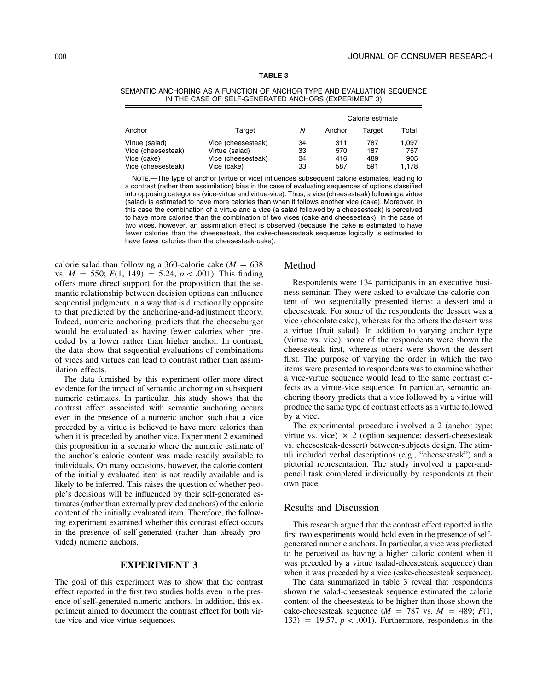#### **TABLE 3**

#### SEMANTIC ANCHORING AS A FUNCTION OF ANCHOR TYPE AND EVALUATION SEQUENCE IN THE CASE OF SELF-GENERATED ANCHORS (EXPERIMENT 3)

|                                                                           |                                                                           |                      | Calorie estimate         |                          |                              |
|---------------------------------------------------------------------------|---------------------------------------------------------------------------|----------------------|--------------------------|--------------------------|------------------------------|
| Anchor                                                                    | Target                                                                    | N                    | Anchor                   | Tarɑet                   | Total                        |
| Virtue (salad)<br>Vice (cheesesteak)<br>Vice (cake)<br>Vice (cheesesteak) | Vice (cheesesteak)<br>Virtue (salad)<br>Vice (cheesesteak)<br>Vice (cake) | 34<br>33<br>34<br>33 | 311<br>570<br>416<br>587 | 787<br>187<br>489<br>591 | 1.097<br>757<br>905<br>1,178 |

NOTE.—The type of anchor (virtue or vice) influences subsequent calorie estimates, leading to a contrast (rather than assimilation) bias in the case of evaluating sequences of options classified into opposing categories (vice-virtue and virtue-vice). Thus, a vice (cheesesteak) following a virtue (salad) is estimated to have more calories than when it follows another vice (cake). Moreover, in this case the combination of a virtue and a vice (a salad followed by a cheesesteak) is perceived to have more calories than the combination of two vices (cake and cheesesteak). In the case of two vices, however, an assimilation effect is observed (because the cake is estimated to have fewer calories than the cheesesteak, the cake-cheesesteak sequence logically is estimated to have fewer calories than the cheesesteak-cake).

calorie salad than following a 360-calorie cake  $(M = 638)$ vs.  $M = 550$ ;  $F(1, 149) = 5.24$ ,  $p < .001$ ). This finding offers more direct support for the proposition that the semantic relationship between decision options can influence sequential judgments in a way that is directionally opposite to that predicted by the anchoring-and-adjustment theory. Indeed, numeric anchoring predicts that the cheeseburger would be evaluated as having fewer calories when preceded by a lower rather than higher anchor. In contrast, the data show that sequential evaluations of combinations of vices and virtues can lead to contrast rather than assimilation effects.

The data furnished by this experiment offer more direct evidence for the impact of semantic anchoring on subsequent numeric estimates. In particular, this study shows that the contrast effect associated with semantic anchoring occurs even in the presence of a numeric anchor, such that a vice preceded by a virtue is believed to have more calories than when it is preceded by another vice. Experiment 2 examined this proposition in a scenario where the numeric estimate of the anchor's calorie content was made readily available to individuals. On many occasions, however, the calorie content of the initially evaluated item is not readily available and is likely to be inferred. This raises the question of whether people's decisions will be influenced by their self-generated estimates (rather than externally provided anchors) of the calorie content of the initially evaluated item. Therefore, the following experiment examined whether this contrast effect occurs in the presence of self-generated (rather than already provided) numeric anchors.

# **EXPERIMENT 3**

The goal of this experiment was to show that the contrast effect reported in the first two studies holds even in the presence of self-generated numeric anchors. In addition, this experiment aimed to document the contrast effect for both virtue-vice and vice-virtue sequences.

# Method

Respondents were 134 participants in an executive business seminar. They were asked to evaluate the calorie content of two sequentially presented items: a dessert and a cheesesteak. For some of the respondents the dessert was a vice (chocolate cake), whereas for the others the dessert was a virtue (fruit salad). In addition to varying anchor type (virtue vs. vice), some of the respondents were shown the cheesesteak first, whereas others were shown the dessert first. The purpose of varying the order in which the two items were presented to respondents was to examine whether a vice-virtue sequence would lead to the same contrast effects as a virtue-vice sequence. In particular, semantic anchoring theory predicts that a vice followed by a virtue will produce the same type of contrast effects as a virtue followed by a vice.

The experimental procedure involved a 2 (anchor type: virtue vs. vice)  $\times$  2 (option sequence: dessert-cheesesteak vs. cheesesteak-dessert) between-subjects design. The stimuli included verbal descriptions (e.g., "cheesesteak") and a pictorial representation. The study involved a paper-andpencil task completed individually by respondents at their own pace.

#### Results and Discussion

This research argued that the contrast effect reported in the first two experiments would hold even in the presence of selfgenerated numeric anchors. In particular, a vice was predicted to be perceived as having a higher caloric content when it was preceded by a virtue (salad-cheesesteak sequence) than when it was preceded by a vice (cake-cheesesteak sequence).

The data summarized in table 3 reveal that respondents shown the salad-cheesesteak sequence estimated the calorie content of the cheesesteak to be higher than those shown the cake-cheesesteak sequence ( $M = 787$  vs.  $M = 489$ ;  $F(1,$ 133) = 19.57,  $p < .001$ ). Furthermore, respondents in the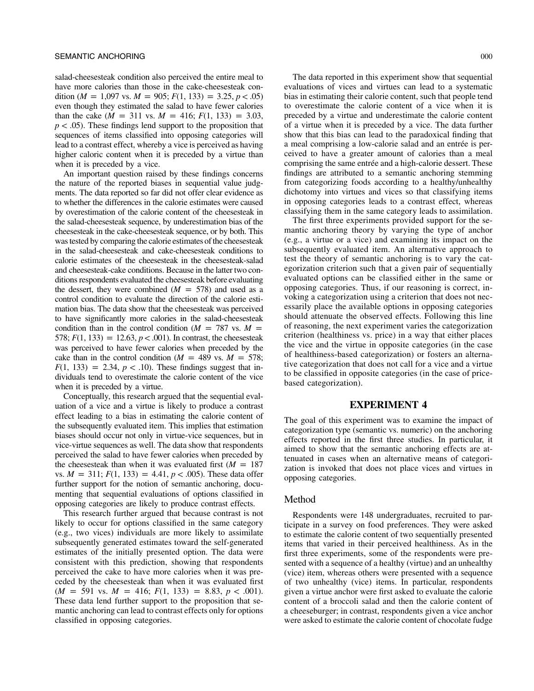salad-cheesesteak condition also perceived the entire meal to have more calories than those in the cake-cheesesteak condition (*M* = 1,097 vs. *M* = 905; *F*(1, 133) = 3.25, *p* < .05) even though they estimated the salad to have fewer calories than the cake  $(M = 311 \text{ vs. } M = 416; F(1, 133) = 3.03$ ,  $p < .05$ ). These findings lend support to the proposition that sequences of items classified into opposing categories will lead to a contrast effect, whereby a vice is perceived as having higher caloric content when it is preceded by a virtue than when it is preceded by a vice.

An important question raised by these findings concerns the nature of the reported biases in sequential value judgments. The data reported so far did not offer clear evidence as to whether the differences in the calorie estimates were caused by overestimation of the calorie content of the cheesesteak in the salad-cheesesteak sequence, by underestimation bias of the cheesesteak in the cake-cheesesteak sequence, or by both. This was tested by comparing the calorie estimates of the cheesesteak in the salad-cheesesteak and cake-cheesesteak conditions to calorie estimates of the cheesesteak in the cheesesteak-salad and cheesesteak-cake conditions. Because in the latter two conditions respondents evaluated the cheesesteak before evaluating the dessert, they were combined  $(M = 578)$  and used as a control condition to evaluate the direction of the calorie estimation bias. The data show that the cheesesteak was perceived to have significantly more calories in the salad-cheesesteak condition than in the control condition ( $M = 787$  vs.  $M =$  $578; F(1, 133) = 12.63, p < .001$ ). In contrast, the cheesesteak was perceived to have fewer calories when preceded by the cake than in the control condition ( $M = 489$  vs.  $M = 578$ ;  $F(1, 133) = 2.34$ ,  $p < .10$ ). These findings suggest that individuals tend to overestimate the calorie content of the vice when it is preceded by a virtue.

Conceptually, this research argued that the sequential evaluation of a vice and a virtue is likely to produce a contrast effect leading to a bias in estimating the calorie content of the subsequently evaluated item. This implies that estimation biases should occur not only in virtue-vice sequences, but in vice-virtue sequences as well. The data show that respondents perceived the salad to have fewer calories when preceded by the cheesesteak than when it was evaluated first  $(M = 187)$ vs.  $M = 311$ ;  $F(1, 133) = 4.41$ ,  $p < .005$ ). These data offer further support for the notion of semantic anchoring, documenting that sequential evaluations of options classified in opposing categories are likely to produce contrast effects.

This research further argued that because contrast is not likely to occur for options classified in the same category (e.g., two vices) individuals are more likely to assimilate subsequently generated estimates toward the self-generated estimates of the initially presented option. The data were consistent with this prediction, showing that respondents perceived the cake to have more calories when it was preceded by the cheesesteak than when it was evaluated first  $(M = 591 \text{ vs. } M = 416; F(1, 133) = 8.83, p < .001).$ These data lend further support to the proposition that semantic anchoring can lead to contrast effects only for options classified in opposing categories.

The data reported in this experiment show that sequential evaluations of vices and virtues can lead to a systematic bias in estimating their calorie content, such that people tend to overestimate the calorie content of a vice when it is preceded by a virtue and underestimate the calorie content of a virtue when it is preceded by a vice. The data further show that this bias can lead to the paradoxical finding that a meal comprising a low-calorie salad and an entrée is perceived to have a greater amount of calories than a meal comprising the same entrée and a high-calorie dessert. These findings are attributed to a semantic anchoring stemming from categorizing foods according to a healthy/unhealthy dichotomy into virtues and vices so that classifying items in opposing categories leads to a contrast effect, whereas classifying them in the same category leads to assimilation.

The first three experiments provided support for the semantic anchoring theory by varying the type of anchor (e.g., a virtue or a vice) and examining its impact on the subsequently evaluated item. An alternative approach to test the theory of semantic anchoring is to vary the categorization criterion such that a given pair of sequentially evaluated options can be classified either in the same or opposing categories. Thus, if our reasoning is correct, invoking a categorization using a criterion that does not necessarily place the available options in opposing categories should attenuate the observed effects. Following this line of reasoning, the next experiment varies the categorization criterion (healthiness vs. price) in a way that either places the vice and the virtue in opposite categories (in the case of healthiness-based categorization) or fosters an alternative categorization that does not call for a vice and a virtue to be classified in opposite categories (in the case of pricebased categorization).

# **EXPERIMENT 4**

The goal of this experiment was to examine the impact of categorization type (semantic vs. numeric) on the anchoring effects reported in the first three studies. In particular, it aimed to show that the semantic anchoring effects are attenuated in cases when an alternative means of categorization is invoked that does not place vices and virtues in opposing categories.

#### Method

Respondents were 148 undergraduates, recruited to participate in a survey on food preferences. They were asked to estimate the calorie content of two sequentially presented items that varied in their perceived healthiness. As in the first three experiments, some of the respondents were presented with a sequence of a healthy (virtue) and an unhealthy (vice) item, whereas others were presented with a sequence of two unhealthy (vice) items. In particular, respondents given a virtue anchor were first asked to evaluate the calorie content of a broccoli salad and then the calorie content of a cheeseburger; in contrast, respondents given a vice anchor were asked to estimate the calorie content of chocolate fudge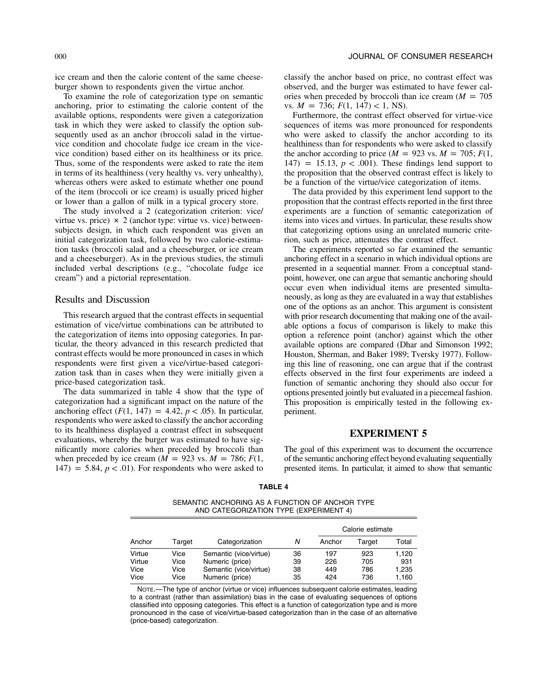ice cream and then the calorie content of the same cheeseburger shown to respondents given the virtue anchor.

To examine the role of categorization type on semantic anchoring, prior to estimating the calorie content of the available options, respondents were given a categorization task in which they were asked to classify the option subsequently used as an anchor (broccoli salad in the virtuevice condition and chocolate fudge ice cream in the vicevice condition) based either on its healthiness or its price. Thus, some of the respondents were asked to rate the item in terms of its healthiness (very healthy vs. very unhealthy), whereas others were asked to estimate whether one pound of the item (broccoli or ice cream) is usually priced higher or lower than a gallon of milk in a typical grocery store.

The study involved a 2 (categorization criterion: vice/ virtue vs. price)  $\times$  2 (anchor type: virtue vs. vice) betweensubjects design, in which each respondent was given an initial categorization task, followed by two calorie-estimation tasks (broccoli salad and a cheeseburger, or ice cream and a cheeseburger). As in the previous studies, the stimuli included verbal descriptions (e.g., "chocolate fudge ice cream") and a pictorial representation.

# Results and Discussion

This research argued that the contrast effects in sequential estimation of vice/virtue combinations can be attributed to the categorization of items into opposing categories. In particular, the theory advanced in this research predicted that contrast effects would be more pronounced in cases in which respondents were first given a vice/virtue-based categorization task than in cases when they were initially given a price-based categorization task.

The data summarized in table 4 show that the type of categorization had a significant impact on the nature of the anchoring effect  $(F(1, 147) = 4.42, p < .05)$ . In particular, respondents who were asked to classify the anchor according to its healthiness displayed a contrast effect in subsequent evaluations, whereby the burger was estimated to have significantly more calories when preceded by broccoli than when preceded by ice cream  $(M = 923 \text{ vs. } M = 786; F(1,$  $147$ ) = 5.84,  $p < .01$ ). For respondents who were asked to

classify the anchor based on price, no contrast effect was observed, and the burger was estimated to have fewer calories when preceded by broccoli than ice cream  $(M = 705)$ vs.  $M = 736$ ;  $F(1, 147) < 1$ , NS).

Furthermore, the contrast effect observed for virtue-vice sequences of items was more pronounced for respondents who were asked to classify the anchor according to its healthiness than for respondents who were asked to classify the anchor according to price ( $M = 923$  vs.  $M = 705$ ;  $F(1,$ 147)  $= 15.13$ ,  $p < .001$ . These findings lend support to the proposition that the observed contrast effect is likely to be a function of the virtue/vice categorization of items.

The data provided by this experiment lend support to the proposition that the contrast effects reported in the first three experiments are a function of semantic categorization of items into vices and virtues. In particular, these results show that categorizing options using an unrelated numeric criterion, such as price, attenuates the contrast effect.

The experiments reported so far examined the semantic anchoring effect in a scenario in which individual options are presented in a sequential manner. From a conceptual standpoint, however, one can argue that semantic anchoring should occur even when individual items are presented simultaneously, as long as they are evaluated in a way that establishes one of the options as an anchor. This argument is consistent with prior research documenting that making one of the available options a focus of comparison is likely to make this option a reference point (anchor) against which the other available options are compared (Dhar and Simonson 1992; Houston, Sherman, and Baker 1989; Tversky 1977). Following this line of reasoning, one can argue that if the contrast effects observed in the first four experiments are indeed a function of semantic anchoring they should also occur for options presented jointly but evaluated in a piecemeal fashion. This proposition is empirically tested in the following experiment.

#### **EXPERIMENT 5**

The goal of this experiment was to document the occurrence of the semantic anchoring effect beyond evaluating sequentially presented items. In particular, it aimed to show that semantic

**TABLE 4**

SEMANTIC ANCHORING AS A FUNCTION OF ANCHOR TYPE AND CATEGORIZATION TYPE (EXPERIMENT 4)

|                                  |                              |                                                                                        |                      | Calorie estimate         |                          |                                |
|----------------------------------|------------------------------|----------------------------------------------------------------------------------------|----------------------|--------------------------|--------------------------|--------------------------------|
| Anchor                           | Target                       | Categorization                                                                         | Ν                    | Anchor                   | Target                   | Total                          |
| Virtue<br>Virtue<br>Vice<br>Vice | Vice<br>Vice<br>Vice<br>Vice | Semantic (vice/virtue)<br>Numeric (price)<br>Semantic (vice/virtue)<br>Numeric (price) | 36<br>39<br>38<br>35 | 197<br>226<br>449<br>424 | 923<br>705<br>786<br>736 | 1,120<br>931<br>1,235<br>1,160 |

NOTE.—The type of anchor (virtue or vice) influences subsequent calorie estimates, leading to a contrast (rather than assimilation) bias in the case of evaluating sequences of options classified into opposing categories. This effect is a function of categorization type and is more pronounced in the case of vice/virtue-based categorization than in the case of an alternative (price-based) categorization.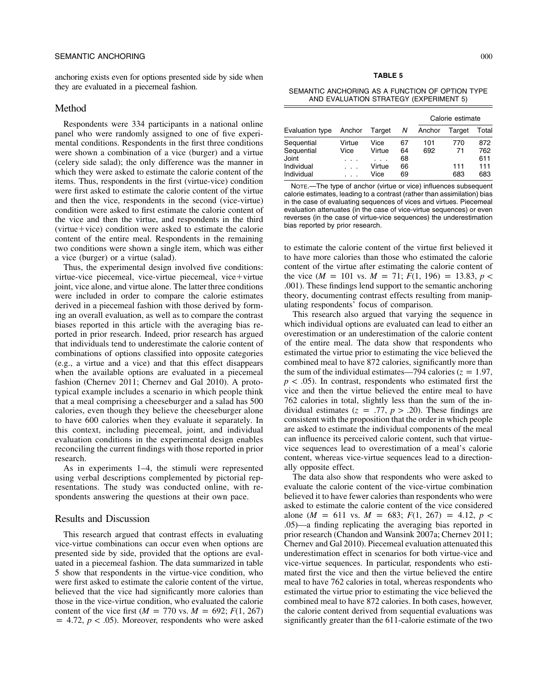anchoring exists even for options presented side by side when they are evaluated in a piecemeal fashion.

#### Method

Respondents were 334 participants in a national online panel who were randomly assigned to one of five experimental conditions. Respondents in the first three conditions were shown a combination of a vice (burger) and a virtue (celery side salad); the only difference was the manner in which they were asked to estimate the calorie content of the items. Thus, respondents in the first (virtue-vice) condition were first asked to estimate the calorie content of the virtue and then the vice, respondents in the second (vice-virtue) condition were asked to first estimate the calorie content of the vice and then the virtue, and respondents in the third  $(virtue+vice)$  condition were asked to estimate the calorie content of the entire meal. Respondents in the remaining two conditions were shown a single item, which was either a vice (burger) or a virtue (salad).

Thus, the experimental design involved five conditions: virtue-vice piecemeal, vice-virtue piecemeal, vice+virtue joint, vice alone, and virtue alone. The latter three conditions were included in order to compare the calorie estimates derived in a piecemeal fashion with those derived by forming an overall evaluation, as well as to compare the contrast biases reported in this article with the averaging bias reported in prior research. Indeed, prior research has argued that individuals tend to underestimate the calorie content of combinations of options classified into opposite categories (e.g., a virtue and a vice) and that this effect disappears when the available options are evaluated in a piecemeal fashion (Chernev 2011; Chernev and Gal 2010). A prototypical example includes a scenario in which people think that a meal comprising a cheeseburger and a salad has 500 calories, even though they believe the cheeseburger alone to have 600 calories when they evaluate it separately. In this context, including piecemeal, joint, and individual evaluation conditions in the experimental design enables reconciling the current findings with those reported in prior research.

As in experiments 1–4, the stimuli were represented using verbal descriptions complemented by pictorial representations. The study was conducted online, with respondents answering the questions at their own pace.

#### Results and Discussion

This research argued that contrast effects in evaluating vice-virtue combinations can occur even when options are presented side by side, provided that the options are evaluated in a piecemeal fashion. The data summarized in table 5 show that respondents in the virtue-vice condition, who were first asked to estimate the calorie content of the virtue, believed that the vice had significantly more calories than those in the vice-virtue condition, who evaluated the calorie content of the vice first ( $M = 770$  vs.  $M = 692$ ;  $F(1, 267)$ )  $p = 4.72$ ,  $p < .05$ ). Moreover, respondents who were asked

#### **TABLE 5**

#### SEMANTIC ANCHORING AS A FUNCTION OF OPTION TYPE AND EVALUATION STRATEGY (EXPERIMENT 5)

|                                   |                |                |                | Calorie estimate |            |                   |
|-----------------------------------|----------------|----------------|----------------|------------------|------------|-------------------|
| Evaluation type                   | Anchor         | Target         | N              | Anchor           | Target     | Total             |
| Sequential<br>Sequential<br>Joint | Virtue<br>Vice | Vice<br>Virtue | 67<br>64<br>68 | 101<br>692       | 770<br>71  | 872<br>762<br>611 |
| Individual<br>Individual          |                | Virtue<br>Vice | 66<br>69       |                  | 111<br>683 | 111<br>683        |

NOTE.—The type of anchor (virtue or vice) influences subsequent calorie estimates, leading to a contrast (rather than assimilation) bias in the case of evaluating sequences of vices and virtues. Piecemeal evaluation attenuates (in the case of vice-virtue sequences) or even reverses (in the case of virtue-vice sequences) the underestimation bias reported by prior research.

to estimate the calorie content of the virtue first believed it to have more calories than those who estimated the calorie content of the virtue after estimating the calorie content of the vice (*M* = 101 vs. *M* = 71; *F*(1, 196) = 13.83, *p* < .001). These findings lend support to the semantic anchoring theory, documenting contrast effects resulting from manipulating respondents' focus of comparison.

This research also argued that varying the sequence in which individual options are evaluated can lead to either an overestimation or an underestimation of the calorie content of the entire meal. The data show that respondents who estimated the virtue prior to estimating the vice believed the combined meal to have 872 calories, significantly more than the sum of the individual estimates—794 calories ( $z = 1.97$ ,  $p < .05$ ). In contrast, respondents who estimated first the vice and then the virtue believed the entire meal to have 762 calories in total, slightly less than the sum of the individual estimates ( $z = .77$ ,  $p > .20$ ). These findings are consistent with the proposition that the order in which people are asked to estimate the individual components of the meal can influence its perceived calorie content, such that virtuevice sequences lead to overestimation of a meal's calorie content, whereas vice-virtue sequences lead to a directionally opposite effect.

The data also show that respondents who were asked to evaluate the calorie content of the vice-virtue combination believed it to have fewer calories than respondents who were asked to estimate the calorie content of the vice considered alone (*M* = 611 vs. *M* = 683;  $F(1, 267) = 4.12$ ,  $p <$ .05)—a finding replicating the averaging bias reported in prior research (Chandon and Wansink 2007a; Chernev 2011; Chernev and Gal 2010). Piecemeal evaluation attenuated this underestimation effect in scenarios for both virtue-vice and vice-virtue sequences. In particular, respondents who estimated first the vice and then the virtue believed the entire meal to have 762 calories in total, whereas respondents who estimated the virtue prior to estimating the vice believed the combined meal to have 872 calories. In both cases, however, the calorie content derived from sequential evaluations was significantly greater than the 611-calorie estimate of the two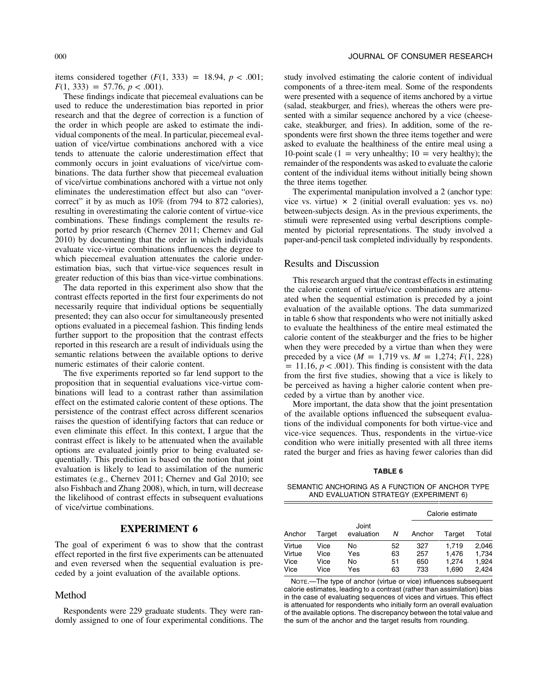items considered together  $(F(1, 333) = 18.94, p < .001;$  $F(1, 333) = 57.76, p < .001$ .

These findings indicate that piecemeal evaluations can be used to reduce the underestimation bias reported in prior research and that the degree of correction is a function of the order in which people are asked to estimate the individual components of the meal. In particular, piecemeal evaluation of vice/virtue combinations anchored with a vice tends to attenuate the calorie underestimation effect that commonly occurs in joint evaluations of vice/virtue combinations. The data further show that piecemeal evaluation of vice/virtue combinations anchored with a virtue not only eliminates the underestimation effect but also can "overcorrect" it by as much as 10% (from 794 to 872 calories), resulting in overestimating the calorie content of virtue-vice combinations. These findings complement the results reported by prior research (Chernev 2011; Chernev and Gal 2010) by documenting that the order in which individuals evaluate vice-virtue combinations influences the degree to which piecemeal evaluation attenuates the calorie underestimation bias, such that virtue-vice sequences result in greater reduction of this bias than vice-virtue combinations.

The data reported in this experiment also show that the contrast effects reported in the first four experiments do not necessarily require that individual options be sequentially presented; they can also occur for simultaneously presented options evaluated in a piecemeal fashion. This finding lends further support to the proposition that the contrast effects reported in this research are a result of individuals using the semantic relations between the available options to derive numeric estimates of their calorie content.

The five experiments reported so far lend support to the proposition that in sequential evaluations vice-virtue combinations will lead to a contrast rather than assimilation effect on the estimated calorie content of these options. The persistence of the contrast effect across different scenarios raises the question of identifying factors that can reduce or even eliminate this effect. In this context, I argue that the contrast effect is likely to be attenuated when the available options are evaluated jointly prior to being evaluated sequentially. This prediction is based on the notion that joint evaluation is likely to lead to assimilation of the numeric estimates (e.g., Chernev 2011; Chernev and Gal 2010; see also Fishbach and Zhang 2008), which, in turn, will decrease the likelihood of contrast effects in subsequent evaluations of vice/virtue combinations.

# **EXPERIMENT 6**

The goal of experiment 6 was to show that the contrast effect reported in the first five experiments can be attenuated and even reversed when the sequential evaluation is preceded by a joint evaluation of the available options.

#### Method

Respondents were 229 graduate students. They were randomly assigned to one of four experimental conditions. The study involved estimating the calorie content of individual components of a three-item meal. Some of the respondents were presented with a sequence of items anchored by a virtue (salad, steakburger, and fries), whereas the others were presented with a similar sequence anchored by a vice (cheesecake, steakburger, and fries). In addition, some of the respondents were first shown the three items together and were asked to evaluate the healthiness of the entire meal using a 10-point scale (1 = very unhealthy;  $10 = \text{very healthy}$ ); the remainder of the respondents was asked to evaluate the calorie content of the individual items without initially being shown the three items together.

The experimental manipulation involved a 2 (anchor type: vice vs. virtue)  $\times$  2 (initial overall evaluation: yes vs. no) between-subjects design. As in the previous experiments, the stimuli were represented using verbal descriptions complemented by pictorial representations. The study involved a paper-and-pencil task completed individually by respondents.

# Results and Discussion

This research argued that the contrast effects in estimating the calorie content of virtue/vice combinations are attenuated when the sequential estimation is preceded by a joint evaluation of the available options. The data summarized in table 6 show that respondents who were not initially asked to evaluate the healthiness of the entire meal estimated the calorie content of the steakburger and the fries to be higher when they were preceded by a virtue than when they were preceded by a vice  $(M = 1,719 \text{ vs. } M = 1,274; F(1, 228))$  $p = 11.16$ ,  $p < .001$ ). This finding is consistent with the data from the first five studies, showing that a vice is likely to be perceived as having a higher calorie content when preceded by a virtue than by another vice.

More important, the data show that the joint presentation of the available options influenced the subsequent evaluations of the individual components for both virtue-vice and vice-vice sequences. Thus, respondents in the virtue-vice condition who were initially presented with all three items rated the burger and fries as having fewer calories than did

#### **TABLE 6**

#### SEMANTIC ANCHORING AS A FUNCTION OF ANCHOR TYPE AND EVALUATION STRATEGY (EXPERIMENT 6)

|        |        | Joint<br>evaluation |    | Calorie estimate |        |       |  |
|--------|--------|---------------------|----|------------------|--------|-------|--|
| Anchor | Target |                     | Ν  | Anchor           | Target | Total |  |
| Virtue | Vice   | No                  | 52 | 327              | 1.719  | 2,046 |  |
| Virtue | Vice   | Yes                 | 63 | 257              | 1.476  | 1.734 |  |
| Vice   | Vice   | No                  | 51 | 650              | 1.274  | 1,924 |  |
| Vice   | Vice   | Yes                 | 63 | 733              | 1,690  | 2,424 |  |

NOTE.—The type of anchor (virtue or vice) influences subsequent calorie estimates, leading to a contrast (rather than assimilation) bias in the case of evaluating sequences of vices and virtues. This effect is attenuated for respondents who initially form an overall evaluation of the available options. The discrepancy between the total value and the sum of the anchor and the target results from rounding.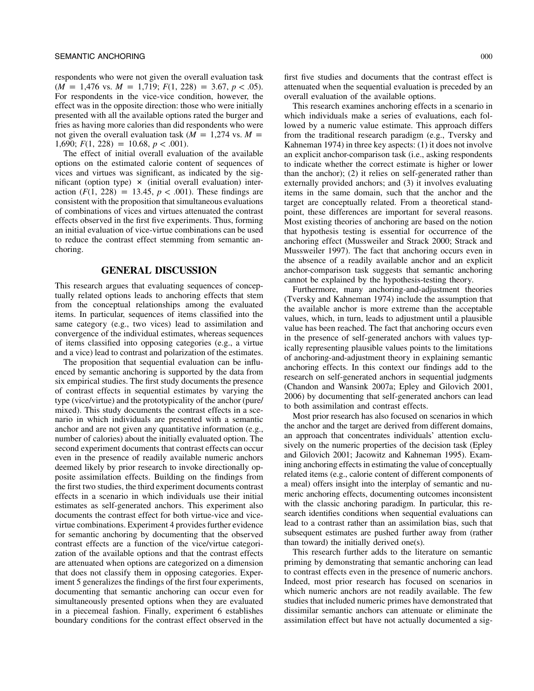respondents who were not given the overall evaluation task  $(M = 1,476 \text{ vs. } M = 1,719; F(1, 228) = 3.67, p < .05).$ For respondents in the vice-vice condition, however, the effect was in the opposite direction: those who were initially presented with all the available options rated the burger and fries as having more calories than did respondents who were not given the overall evaluation task ( $M = 1,274$  vs.  $M =$ 1,690;  $F(1, 228) = 10.68$ ,  $p < .001$ ).

The effect of initial overall evaluation of the available options on the estimated calorie content of sequences of vices and virtues was significant, as indicated by the significant (option type)  $\times$  (initial overall evaluation) interaction  $(F(1, 228) = 13.45, p < .001)$ . These findings are consistent with the proposition that simultaneous evaluations of combinations of vices and virtues attenuated the contrast effects observed in the first five experiments. Thus, forming an initial evaluation of vice-virtue combinations can be used to reduce the contrast effect stemming from semantic anchoring.

# **GENERAL DISCUSSION**

This research argues that evaluating sequences of conceptually related options leads to anchoring effects that stem from the conceptual relationships among the evaluated items. In particular, sequences of items classified into the same category (e.g., two vices) lead to assimilation and convergence of the individual estimates, whereas sequences of items classified into opposing categories (e.g., a virtue and a vice) lead to contrast and polarization of the estimates.

The proposition that sequential evaluation can be influenced by semantic anchoring is supported by the data from six empirical studies. The first study documents the presence of contrast effects in sequential estimates by varying the type (vice/virtue) and the prototypicality of the anchor (pure/ mixed). This study documents the contrast effects in a scenario in which individuals are presented with a semantic anchor and are not given any quantitative information (e.g., number of calories) about the initially evaluated option. The second experiment documents that contrast effects can occur even in the presence of readily available numeric anchors deemed likely by prior research to invoke directionally opposite assimilation effects. Building on the findings from the first two studies, the third experiment documents contrast effects in a scenario in which individuals use their initial estimates as self-generated anchors. This experiment also documents the contrast effect for both virtue-vice and vicevirtue combinations. Experiment 4 provides further evidence for semantic anchoring by documenting that the observed contrast effects are a function of the vice/virtue categorization of the available options and that the contrast effects are attenuated when options are categorized on a dimension that does not classify them in opposing categories. Experiment 5 generalizes the findings of the first four experiments, documenting that semantic anchoring can occur even for simultaneously presented options when they are evaluated in a piecemeal fashion. Finally, experiment 6 establishes boundary conditions for the contrast effect observed in the

first five studies and documents that the contrast effect is attenuated when the sequential evaluation is preceded by an overall evaluation of the available options.

This research examines anchoring effects in a scenario in which individuals make a series of evaluations, each followed by a numeric value estimate. This approach differs from the traditional research paradigm (e.g., Tversky and Kahneman 1974) in three key aspects: (1) it does not involve an explicit anchor-comparison task (i.e., asking respondents to indicate whether the correct estimate is higher or lower than the anchor); (2) it relies on self-generated rather than externally provided anchors; and (3) it involves evaluating items in the same domain, such that the anchor and the target are conceptually related. From a theoretical standpoint, these differences are important for several reasons. Most existing theories of anchoring are based on the notion that hypothesis testing is essential for occurrence of the anchoring effect (Mussweiler and Strack 2000; Strack and Mussweiler 1997). The fact that anchoring occurs even in the absence of a readily available anchor and an explicit anchor-comparison task suggests that semantic anchoring cannot be explained by the hypothesis-testing theory.

Furthermore, many anchoring-and-adjustment theories (Tversky and Kahneman 1974) include the assumption that the available anchor is more extreme than the acceptable values, which, in turn, leads to adjustment until a plausible value has been reached. The fact that anchoring occurs even in the presence of self-generated anchors with values typically representing plausible values points to the limitations of anchoring-and-adjustment theory in explaining semantic anchoring effects. In this context our findings add to the research on self-generated anchors in sequential judgments (Chandon and Wansink 2007a; Epley and Gilovich 2001, 2006) by documenting that self-generated anchors can lead to both assimilation and contrast effects.

Most prior research has also focused on scenarios in which the anchor and the target are derived from different domains, an approach that concentrates individuals' attention exclusively on the numeric properties of the decision task (Epley and Gilovich 2001; Jacowitz and Kahneman 1995). Examining anchoring effects in estimating the value of conceptually related items (e.g., calorie content of different components of a meal) offers insight into the interplay of semantic and numeric anchoring effects, documenting outcomes inconsistent with the classic anchoring paradigm. In particular, this research identifies conditions when sequential evaluations can lead to a contrast rather than an assimilation bias, such that subsequent estimates are pushed further away from (rather than toward) the initially derived one(s).

This research further adds to the literature on semantic priming by demonstrating that semantic anchoring can lead to contrast effects even in the presence of numeric anchors. Indeed, most prior research has focused on scenarios in which numeric anchors are not readily available. The few studies that included numeric primes have demonstrated that dissimilar semantic anchors can attenuate or eliminate the assimilation effect but have not actually documented a sig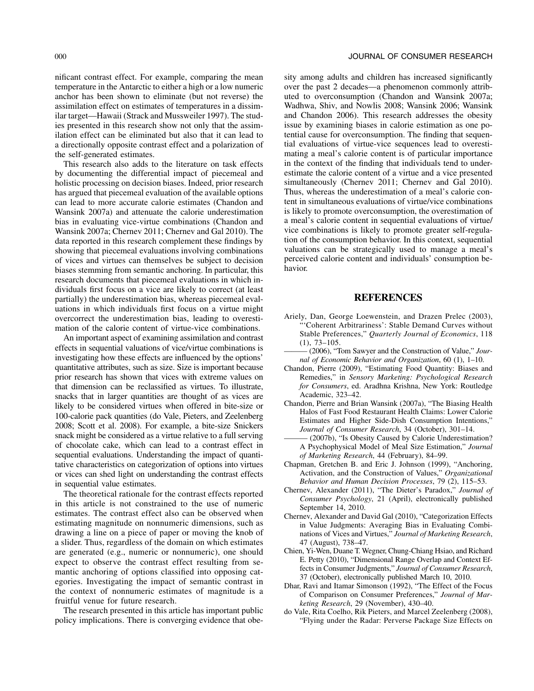nificant contrast effect. For example, comparing the mean temperature in the Antarctic to either a high or a low numeric anchor has been shown to eliminate (but not reverse) the assimilation effect on estimates of temperatures in a dissimilar target—Hawaii (Strack and Mussweiler 1997). The studies presented in this research show not only that the assimilation effect can be eliminated but also that it can lead to a directionally opposite contrast effect and a polarization of the self-generated estimates.

This research also adds to the literature on task effects by documenting the differential impact of piecemeal and holistic processing on decision biases. Indeed, prior research has argued that piecemeal evaluation of the available options can lead to more accurate calorie estimates (Chandon and Wansink 2007a) and attenuate the calorie underestimation bias in evaluating vice-virtue combinations (Chandon and Wansink 2007a; Chernev 2011; Chernev and Gal 2010). The data reported in this research complement these findings by showing that piecemeal evaluations involving combinations of vices and virtues can themselves be subject to decision biases stemming from semantic anchoring. In particular, this research documents that piecemeal evaluations in which individuals first focus on a vice are likely to correct (at least partially) the underestimation bias, whereas piecemeal evaluations in which individuals first focus on a virtue might overcorrect the underestimation bias, leading to overestimation of the calorie content of virtue-vice combinations.

An important aspect of examining assimilation and contrast effects in sequential valuations of vice/virtue combinations is investigating how these effects are influenced by the options' quantitative attributes, such as size. Size is important because prior research has shown that vices with extreme values on that dimension can be reclassified as virtues. To illustrate, snacks that in larger quantities are thought of as vices are likely to be considered virtues when offered in bite-size or 100-calorie pack quantities (do Vale, Pieters, and Zeelenberg 2008; Scott et al. 2008). For example, a bite-size Snickers snack might be considered as a virtue relative to a full serving of chocolate cake, which can lead to a contrast effect in sequential evaluations. Understanding the impact of quantitative characteristics on categorization of options into virtues or vices can shed light on understanding the contrast effects in sequential value estimates.

The theoretical rationale for the contrast effects reported in this article is not constrained to the use of numeric estimates. The contrast effect also can be observed when estimating magnitude on nonnumeric dimensions, such as drawing a line on a piece of paper or moving the knob of a slider. Thus, regardless of the domain on which estimates are generated (e.g., numeric or nonnumeric), one should expect to observe the contrast effect resulting from semantic anchoring of options classified into opposing categories. Investigating the impact of semantic contrast in the context of nonnumeric estimates of magnitude is a fruitful venue for future research.

The research presented in this article has important public policy implications. There is converging evidence that obe-

sity among adults and children has increased significantly over the past 2 decades—a phenomenon commonly attributed to overconsumption (Chandon and Wansink 2007a; Wadhwa, Shiv, and Nowlis 2008; Wansink 2006; Wansink and Chandon 2006). This research addresses the obesity issue by examining biases in calorie estimation as one potential cause for overconsumption. The finding that sequential evaluations of virtue-vice sequences lead to overestimating a meal's calorie content is of particular importance in the context of the finding that individuals tend to underestimate the calorie content of a virtue and a vice presented simultaneously (Chernev 2011; Chernev and Gal 2010). Thus, whereas the underestimation of a meal's calorie content in simultaneous evaluations of virtue/vice combinations is likely to promote overconsumption, the overestimation of a meal's calorie content in sequential evaluations of virtue/ vice combinations is likely to promote greater self-regulation of the consumption behavior. In this context, sequential valuations can be strategically used to manage a meal's perceived calorie content and individuals' consumption behavior.

# **REFERENCES**

- Ariely, Dan, George Loewenstein, and Drazen Prelec (2003), "'Coherent Arbitrariness': Stable Demand Curves without Stable Preferences," *Quarterly Journal of Economics*, 118 (1), 73–105.
- ——— (2006), "Tom Sawyer and the Construction of Value," *Journal of Economic Behavior and Organization*, 60 (1), 1–10.
- Chandon, Pierre (2009), "Estimating Food Quantity: Biases and Remedies," in *Sensory Marketing: Psychological Research for Consumers*, ed. Aradhna Krishna, New York: Routledge Academic, 323–42.
- Chandon, Pierre and Brian Wansink (2007a), "The Biasing Health Halos of Fast Food Restaurant Health Claims: Lower Calorie Estimates and Higher Side-Dish Consumption Intentions," *Journal of Consumer Research*, 34 (October), 301–14.
- (2007b), "Is Obesity Caused by Calorie Underestimation? A Psychophysical Model of Meal Size Estimation," *Journal of Marketing Research*, 44 (February), 84–99.
- Chapman, Gretchen B. and Eric J. Johnson (1999), "Anchoring, Activation, and the Construction of Values," *Organizational Behavior and Human Decision Processes*, 79 (2), 115–53.
- Chernev, Alexander (2011), "The Dieter's Paradox," *Journal of Consumer Psychology*, 21 (April), electronically published September 14, 2010.
- Chernev, Alexander and David Gal (2010), "Categorization Effects in Value Judgments: Averaging Bias in Evaluating Combinations of Vices and Virtues," *Journal of Marketing Research*, 47 (August), 738–47.
- Chien, Yi-Wen, Duane T. Wegner, Chung-Chiang Hsiao, and Richard E. Petty (2010), "Dimensional Range Overlap and Context Effects in Consumer Judgments," *Journal of Consumer Research*, 37 (October), electronically published March 10, 2010.
- Dhar, Ravi and Itamar Simonson (1992), "The Effect of the Focus of Comparison on Consumer Preferences," *Journal of Marketing Research*, 29 (November), 430–40.
- do Vale, Rita Coelho, Rik Pieters, and Marcel Zeelenberg (2008), "Flying under the Radar: Perverse Package Size Effects on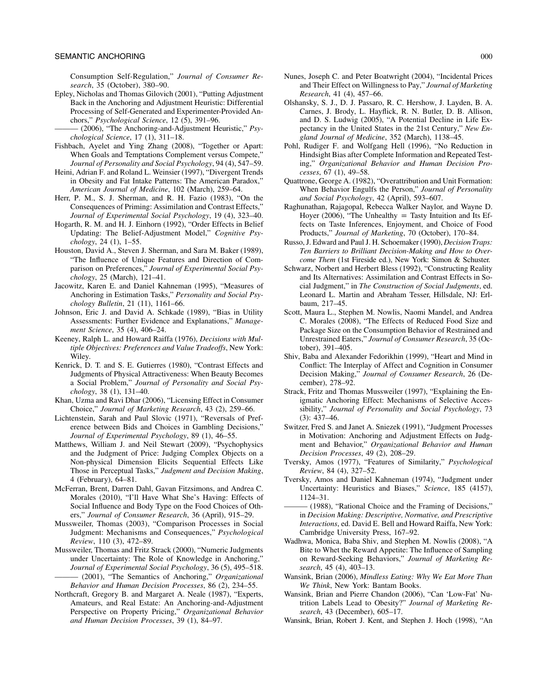Consumption Self-Regulation," *Journal of Consumer Research*, 35 (October), 380–90.

- Epley, Nicholas and Thomas Gilovich (2001), "Putting Adjustment Back in the Anchoring and Adjustment Heuristic: Differential Processing of Self-Generated and Experimenter-Provided Anchors," *Psychological Science*, 12 (5), 391–96.
- (2006), "The Anchoring-and-Adjustment Heuristic," *Psychological Science*, 17 (1), 311–18.
- Fishbach, Ayelet and Ying Zhang (2008), "Together or Apart: When Goals and Temptations Complement versus Compete," *Journal of Personality and Social Psychology*, 94 (4), 547–59.
- Heini, Adrian F. and Roland L. Weinsier (1997), "Divergent Trends in Obesity and Fat Intake Patterns: The American Paradox," *American Journal of Medicine*, 102 (March), 259–64.
- Herr, P. M., S. J. Sherman, and R. H. Fazio (1983), "On the Consequences of Priming: Assimilation and Contrast Effects," *Journal of Experimental Social Psychology*, 19 (4), 323–40.
- Hogarth, R. M. and H. J. Einhorn (1992), "Order Effects in Belief Updating: The Belief-Adjustment Model," *Cognitive Psychology*, 24 (1), 1–55.
- Houston, David A., Steven J. Sherman, and Sara M. Baker (1989), "The Influence of Unique Features and Direction of Comparison on Preferences," *Journal of Experimental Social Psychology*, 25 (March), 121–41.
- Jacowitz, Karen E. and Daniel Kahneman (1995), "Measures of Anchoring in Estimation Tasks," *Personality and Social Psychology Bulletin*, 21 (11), 1161–66.
- Johnson, Eric J. and David A. Schkade (1989), "Bias in Utility Assessments: Further Evidence and Explanations," *Management Science*, 35 (4), 406–24.
- Keeney, Ralph L. and Howard Raiffa (1976), *Decisions with Multiple Objectives: Preferences and Value Tradeoffs*, New York: Wiley.
- Kenrick, D. T. and S. E. Gutierres (1980), "Contrast Effects and Judgments of Physical Attractiveness: When Beauty Becomes a Social Problem," *Journal of Personality and Social Psychology*, 38 (1), 131–40.
- Khan, Uzma and Ravi Dhar (2006), "Licensing Effect in Consumer Choice," *Journal of Marketing Research*, 43 (2), 259–66.
- Lichtenstein, Sarah and Paul Slovic (1971), "Reversals of Preference between Bids and Choices in Gambling Decisions," *Journal of Experimental Psychology*, 89 (1), 46–55.
- Matthews, William J. and Neil Stewart (2009), "Psychophysics and the Judgment of Price: Judging Complex Objects on a Non-physical Dimension Elicits Sequential Effects Like Those in Perceptual Tasks," *Judgment and Decision Making*, 4 (February), 64–81.
- McFerran, Brent, Darren Dahl, Gavan Fitzsimons, and Andrea C. Morales (2010), "I'll Have What She's Having: Effects of Social Influence and Body Type on the Food Choices of Others," *Journal of Consumer Research*, 36 (April), 915–29.
- Mussweiler, Thomas (2003), "Comparison Processes in Social Judgment: Mechanisms and Consequences," *Psychological Review*, 110 (3), 472–89.
- Mussweiler, Thomas and Fritz Strack (2000), "Numeric Judgments under Uncertainty: The Role of Knowledge in Anchoring," *Journal of Experimental Social Psychology*, 36 (5), 495–518. ——— (2001), "The Semantics of Anchoring," *Organizational Behavior and Human Decision Processes*, 86 (2), 234–55.
- Northcraft, Gregory B. and Margaret A. Neale (1987), "Experts, Amateurs, and Real Estate: An Anchoring-and-Adjustment Perspective on Property Pricing," *Organizational Behavior and Human Decision Processes*, 39 (1), 84–97.
- Nunes, Joseph C. and Peter Boatwright (2004), "Incidental Prices and Their Effect on Willingness to Pay," *Journal of Marketing Research*, 41 (4), 457–66.
- Olshansky, S. J., D. J. Passaro, R. C. Hershow, J. Layden, B. A. Carnes, J. Brody, L. Hayflick, R. N. Butler, D. B. Allison, and D. S. Ludwig (2005), "A Potential Decline in Life Expectancy in the United States in the 21st Century," *New England Journal of Medicine*, 352 (March), 1138–45.
- Pohl, Rudiger F. and Wolfgang Hell (1996), "No Reduction in Hindsight Bias after Complete Information and Repeated Testing," *Organizational Behavior and Human Decision Processes*, 67 (1), 49–58.
- Quattrone, George A. (1982), "Overattribution and Unit Formation: When Behavior Engulfs the Person," *Journal of Personality and Social Psychology*, 42 (April), 593–607.
- Raghunathan, Rajagopal, Rebecca Walker Naylor, and Wayne D. Hoyer (2006), "The Unhealthy  $=$  Tasty Intuition and Its Effects on Taste Inferences, Enjoyment, and Choice of Food Products," *Journal of Marketing*, 70 (October), 170–84.
- Russo, J. Edward and Paul J. H. Schoemaker (1990), *Decision Traps: Ten Barriers to Brilliant Decision-Making and How to Overcome Them* (1st Fireside ed.), New York: Simon & Schuster.
- Schwarz, Norbert and Herbert Bless (1992), "Constructing Reality and Its Alternatives: Assimilation and Contrast Effects in Social Judgment," in *The Construction of Social Judgments*, ed. Leonard L. Martin and Abraham Tesser, Hillsdale, NJ: Erlbaum, 217–45.
- Scott, Maura L., Stephen M. Nowlis, Naomi Mandel, and Andrea C. Morales (2008), "The Effects of Reduced Food Size and Package Size on the Consumption Behavior of Restrained and Unrestrained Eaters," *Journal of Consumer Research*, 35 (October), 391–405.
- Shiv, Baba and Alexander Fedorikhin (1999), "Heart and Mind in Conflict: The Interplay of Affect and Cognition in Consumer Decision Making," *Journal of Consumer Research*, 26 (December), 278–92.
- Strack, Fritz and Thomas Mussweiler (1997), "Explaining the Enigmatic Anchoring Effect: Mechanisms of Selective Accessibility," *Journal of Personality and Social Psychology*, 73 (3): 437–46.
- Switzer, Fred S. and Janet A. Sniezek (1991), "Judgment Processes in Motivation: Anchoring and Adjustment Effects on Judgment and Behavior," *Organizational Behavior and Human Decision Processes*, 49 (2), 208–29.
- Tversky, Amos (1977), "Features of Similarity," *Psychological Review*, 84 (4), 327–52.
- Tversky, Amos and Daniel Kahneman (1974), "Judgment under Uncertainty: Heuristics and Biases," *Science*, 185 (4157), 1124–31.
- (1988), "Rational Choice and the Framing of Decisions," in *Decision Making: Descriptive, Normative, and Prescriptive Interactions*, ed. David E. Bell and Howard Raiffa, New York: Cambridge University Press, 167–92.
- Wadhwa, Monica, Baba Shiv, and Stephen M. Nowlis (2008), "A Bite to Whet the Reward Appetite: The Influence of Sampling on Reward-Seeking Behaviors," *Journal of Marketing Research*, 45 (4), 403–13.
- Wansink, Brian (2006), *Mindless Eating: Why We Eat More Than We Think*, New York: Bantam Books.
- Wansink, Brian and Pierre Chandon (2006), "Can 'Low-Fat' Nutrition Labels Lead to Obesity?" *Journal of Marketing Research*, 43 (December), 605–17.
- Wansink, Brian, Robert J. Kent, and Stephen J. Hoch (1998), "An